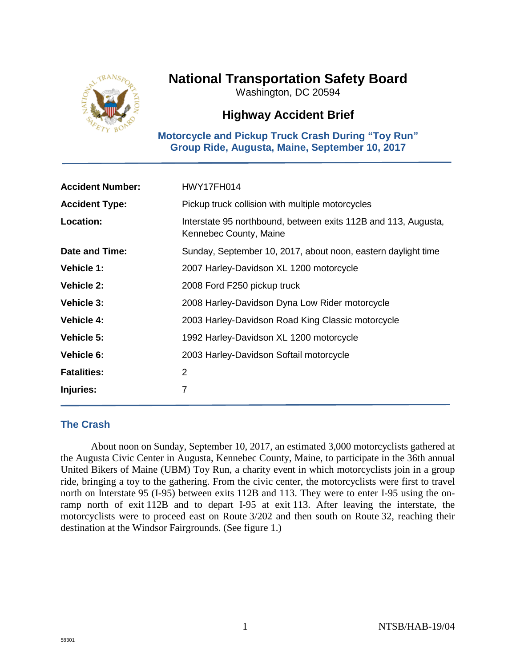

# **National Transportation Safety Board**

Washington, DC 20594

## **Highway Accident Brief**

**Motorcycle and Pickup Truck Crash During "Toy Run" Group Ride, Augusta, Maine, September 10, 2017**

| <b>Accident Number:</b> | HWY17FH014                                                                               |
|-------------------------|------------------------------------------------------------------------------------------|
| <b>Accident Type:</b>   | Pickup truck collision with multiple motorcycles                                         |
| Location:               | Interstate 95 northbound, between exits 112B and 113, Augusta,<br>Kennebec County, Maine |
| Date and Time:          | Sunday, September 10, 2017, about noon, eastern daylight time                            |
| <b>Vehicle 1:</b>       | 2007 Harley-Davidson XL 1200 motorcycle                                                  |
| <b>Vehicle 2:</b>       | 2008 Ford F250 pickup truck                                                              |
| <b>Vehicle 3:</b>       | 2008 Harley-Davidson Dyna Low Rider motorcycle                                           |
| <b>Vehicle 4:</b>       | 2003 Harley-Davidson Road King Classic motorcycle                                        |
| Vehicle 5:              | 1992 Harley-Davidson XL 1200 motorcycle                                                  |
| <b>Vehicle 6:</b>       | 2003 Harley-Davidson Softail motorcycle                                                  |
| <b>Fatalities:</b>      | 2                                                                                        |
| Injuries:               | 7                                                                                        |

## **The Crash**

About noon on Sunday, September 10, 2017, an estimated 3,000 motorcyclists gathered at the Augusta Civic Center in Augusta, Kennebec County, Maine, to participate in the 36th annual United Bikers of Maine (UBM) Toy Run, a charity event in which motorcyclists join in a group ride, bringing a toy to the gathering. From the civic center, the motorcyclists were first to travel north on Interstate 95 (I-95) between exits 112B and 113. They were to enter I-95 using the onramp north of exit 112B and to depart I-95 at exit 113. After leaving the interstate, the motorcyclists were to proceed east on Route 3/202 and then south on Route 32, reaching their destination at the Windsor Fairgrounds. (See figure 1.)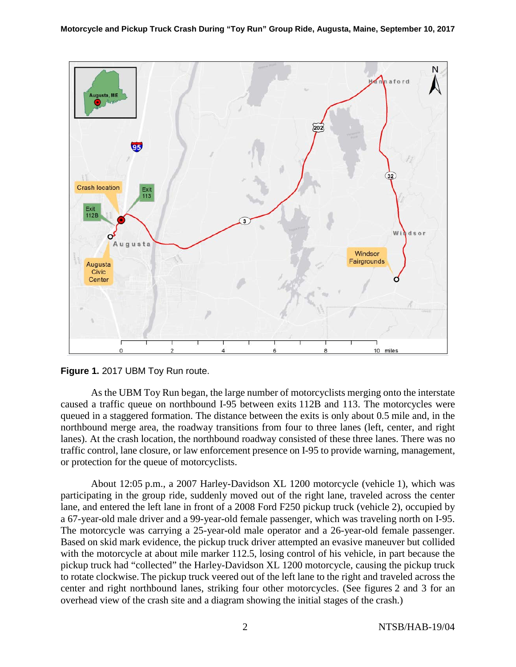



As the UBM Toy Run began, the large number of motorcyclists merging onto the interstate caused a traffic queue on northbound I-95 between exits 112B and 113. The motorcycles were queued in a staggered formation. The distance between the exits is only about 0.5 mile and, in the northbound merge area, the roadway transitions from four to three lanes (left, center, and right lanes). At the crash location, the northbound roadway consisted of these three lanes. There was no traffic control, lane closure, or law enforcement presence on I-95 to provide warning, management, or protection for the queue of motorcyclists.

About 12:05 p.m., a 2007 Harley-Davidson XL 1200 motorcycle (vehicle 1), which was participating in the group ride, suddenly moved out of the right lane, traveled across the center lane, and entered the left lane in front of a 2008 Ford F250 pickup truck (vehicle 2), occupied by a 67-year-old male driver and a 99-year-old female passenger, which was traveling north on I-95. The motorcycle was carrying a 25-year-old male operator and a 26-year-old female passenger. Based on skid mark evidence, the pickup truck driver attempted an evasive maneuver but collided with the motorcycle at about mile marker 112.5, losing control of his vehicle, in part because the pickup truck had "collected" the Harley-Davidson XL 1200 motorcycle, causing the pickup truck to rotate clockwise. The pickup truck veered out of the left lane to the right and traveled across the center and right northbound lanes, striking four other motorcycles. (See figures 2 and 3 for an overhead view of the crash site and a diagram showing the initial stages of the crash.)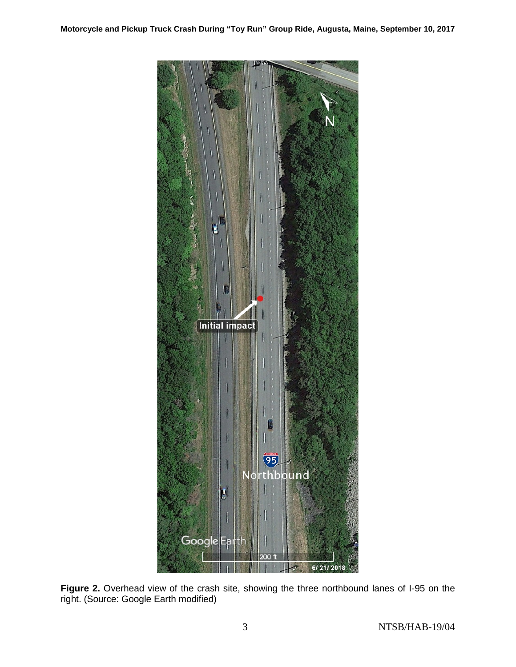

Figure 2. Overhead view of the crash site, showing the three northbound lanes of I-95 on the right. (Source: Google Earth modified)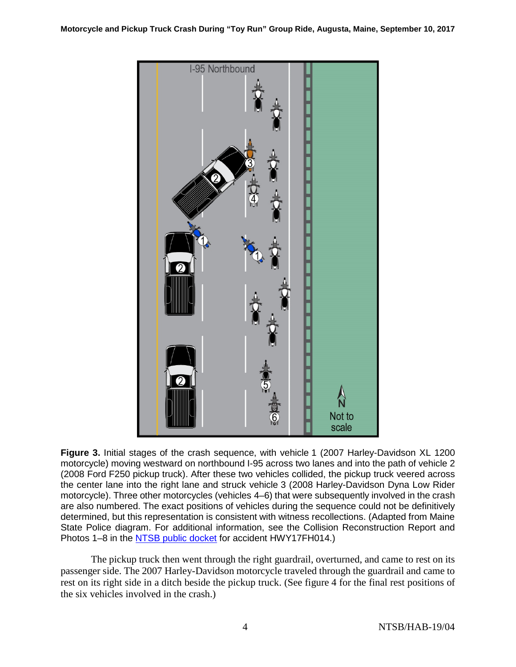

**Figure 3.** Initial stages of the crash sequence, with vehicle 1 (2007 Harley-Davidson XL 1200 motorcycle) moving westward on northbound I-95 across two lanes and into the path of vehicle 2 (2008 Ford F250 pickup truck). After these two vehicles collided, the pickup truck veered across the center lane into the right lane and struck vehicle 3 (2008 Harley-Davidson Dyna Low Rider motorcycle). Three other motorcycles (vehicles 4–6) that were subsequently involved in the crash are also numbered. The exact positions of vehicles during the sequence could not be definitively determined, but this representation is consistent with witness recollections. (Adapted from Maine State Police diagram. For additional information, see the Collision Reconstruction Report and Photos 1–8 in the [NTSB public docket](http://dms.ntsb.gov/pubdms/) for accident HWY17FH014.)

The pickup truck then went through the right guardrail, overturned, and came to rest on its passenger side. The 2007 Harley-Davidson motorcycle traveled through the guardrail and came to rest on its right side in a ditch beside the pickup truck. (See figure 4 for the final rest positions of the six vehicles involved in the crash.)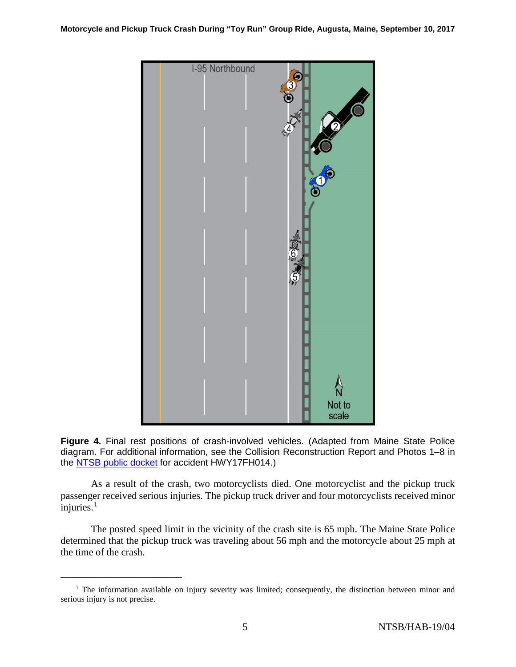

**Figure 4.** Final rest positions of crash-involved vehicles. (Adapted from Maine State Police diagram. For additional information, see the Collision Reconstruction Report and Photos 1–8 in the [NTSB public docket](http://dms.ntsb.gov/pubdms/) for accident HWY17FH014.)

As a result of the crash, two motorcyclists died. One motorcyclist and the pickup truck passenger received serious injuries. The pickup truck driver and four motorcyclists received minor  $\overline{i}$ njuries.<sup>[1](#page-4-0)</sup>

The posted speed limit in the vicinity of the crash site is 65 mph. The Maine State Police determined that the pickup truck was traveling about 56 mph and the motorcycle about 25 mph at the time of the crash.

<span id="page-4-0"></span><sup>&</sup>lt;sup>1</sup> The information available on injury severity was limited; consequently, the distinction between minor and serious injury is not precise.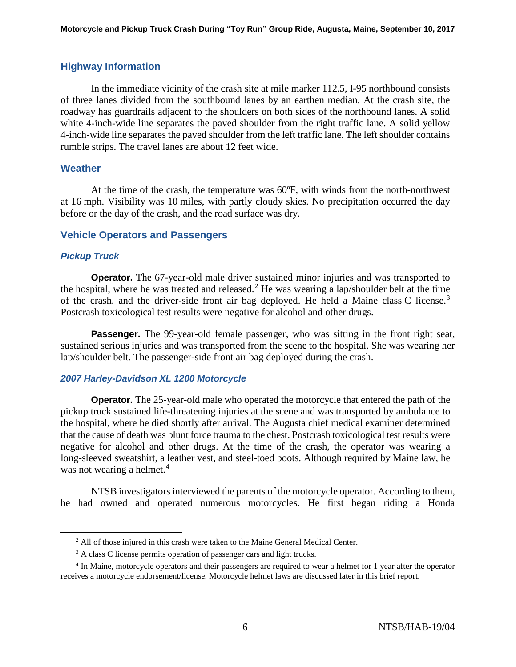### **Highway Information**

In the immediate vicinity of the crash site at mile marker 112.5, I-95 northbound consists of three lanes divided from the southbound lanes by an earthen median. At the crash site, the roadway has guardrails adjacent to the shoulders on both sides of the northbound lanes. A solid white 4-inch-wide line separates the paved shoulder from the right traffic lane. A solid yellow 4-inch-wide line separates the paved shoulder from the left traffic lane. The left shoulder contains rumble strips. The travel lanes are about 12 feet wide.

#### **Weather**

At the time of the crash, the temperature was 60ºF, with winds from the north-northwest at 16 mph. Visibility was 10 miles, with partly cloudy skies. No precipitation occurred the day before or the day of the crash, and the road surface was dry.

#### **Vehicle Operators and Passengers**

#### *Pickup Truck*

**Operator.** The 67-year-old male driver sustained minor injuries and was transported to the hospital, where he was treated and released.<sup>[2](#page-5-0)</sup> He was wearing a lap/shoulder belt at the time of the crash, and the driver-side front air bag deployed. He held a Maine class C license.<sup>[3](#page-5-1)</sup> Postcrash toxicological test results were negative for alcohol and other drugs.

**Passenger.** The 99-year-old female passenger, who was sitting in the front right seat, sustained serious injuries and was transported from the scene to the hospital. She was wearing her lap/shoulder belt. The passenger-side front air bag deployed during the crash.

#### *2007 Harley-Davidson XL 1200 Motorcycle*

**Operator.** The 25-year-old male who operated the motorcycle that entered the path of the pickup truck sustained life-threatening injuries at the scene and was transported by ambulance to the hospital, where he died shortly after arrival. The Augusta chief medical examiner determined that the cause of death was blunt force trauma to the chest. Postcrash toxicological test results were negative for alcohol and other drugs. At the time of the crash, the operator was wearing a long-sleeved sweatshirt, a leather vest, and steel-toed boots. Although required by Maine law, he was not wearing a helmet.<sup>[4](#page-5-2)</sup>

NTSB investigators interviewed the parents of the motorcycle operator. According to them, he had owned and operated numerous motorcycles. He first began riding a Honda

<sup>&</sup>lt;sup>2</sup> All of those injured in this crash were taken to the Maine General Medical Center.

<sup>&</sup>lt;sup>3</sup> A class C license permits operation of passenger cars and light trucks.

<span id="page-5-2"></span><span id="page-5-1"></span><span id="page-5-0"></span><sup>4</sup> In Maine, motorcycle operators and their passengers are required to wear a helmet for 1 year after the operator receives a motorcycle endorsement/license. Motorcycle helmet laws are discussed later in this brief report.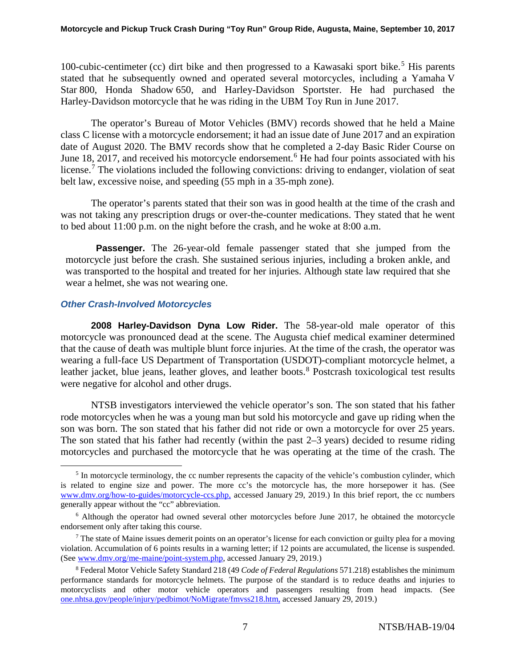100-cubic-centimeter (cc) dirt bike and then progressed to a Kawasaki sport bike.<sup>[5](#page-6-0)</sup> His parents stated that he subsequently owned and operated several motorcycles, including a Yamaha V Star 800, Honda Shadow 650, and Harley-Davidson Sportster. He had purchased the Harley-Davidson motorcycle that he was riding in the UBM Toy Run in June 2017.

The operator's Bureau of Motor Vehicles (BMV) records showed that he held a Maine class C license with a motorcycle endorsement; it had an issue date of June 2017 and an expiration date of August 2020. The BMV records show that he completed a 2-day Basic Rider Course on June 18, 2017, and received his motorcycle endorsement.<sup>[6](#page-6-1)</sup> He had four points associated with his license.<sup>[7](#page-6-2)</sup> The violations included the following convictions: driving to endanger, violation of seat belt law, excessive noise, and speeding (55 mph in a 35-mph zone).

The operator's parents stated that their son was in good health at the time of the crash and was not taking any prescription drugs or over-the-counter medications. They stated that he went to bed about 11:00 p.m. on the night before the crash, and he woke at 8:00 a.m.

**Passenger.** The 26-year-old female passenger stated that she jumped from the motorcycle just before the crash. She sustained serious injuries, including a broken ankle, and was transported to the hospital and treated for her injuries. Although state law required that she wear a helmet, she was not wearing one.

### *Other Crash-Involved Motorcycles*

**2008 Harley-Davidson Dyna Low Rider.** The 58-year-old male operator of this motorcycle was pronounced dead at the scene. The Augusta chief medical examiner determined that the cause of death was multiple blunt force injuries. At the time of the crash, the operator was wearing a full-face US Department of Transportation (USDOT)-compliant motorcycle helmet, a leather jacket, blue jeans, leather gloves, and leather boots.<sup>[8](#page-6-3)</sup> Postcrash toxicological test results were negative for alcohol and other drugs.

NTSB investigators interviewed the vehicle operator's son. The son stated that his father rode motorcycles when he was a young man but sold his motorcycle and gave up riding when the son was born. The son stated that his father did not ride or own a motorcycle for over 25 years. The son stated that his father had recently (within the past 2–3 years) decided to resume riding motorcycles and purchased the motorcycle that he was operating at the time of the crash. The

<span id="page-6-0"></span> $<sup>5</sup>$  In motorcycle terminology, the cc number represents the capacity of the vehicle's combustion cylinder, which</sup> is related to engine size and power. The more cc's the motorcycle has, the more horsepower it has. (See [www.dmv.org/how-to-guides/motorcycle-ccs.php,](http://www.dmv.org/how-to-guides/motorcycle-ccs.php) accessed January 29, 2019.) In this brief report, the cc numbers generally appear without the "cc" abbreviation.

<span id="page-6-1"></span><sup>&</sup>lt;sup>6</sup> Although the operator had owned several other motorcycles before June 2017, he obtained the motorcycle endorsement only after taking this course.

<span id="page-6-2"></span><sup>&</sup>lt;sup>7</sup> The state of Maine issues demerit points on an operator's license for each conviction or guilty plea for a moving violation. Accumulation of 6 points results in a warning letter; if 12 points are accumulated, the license is suspended. (See [www.dmv.org/me-maine/point-system.php,](http://www.dmv.org/me-maine/point-system.php) accessed January 29, 2019.)

<span id="page-6-3"></span><sup>8</sup> Federal Motor Vehicle Safety Standard 218 (49 *Code of Federal Regulations* 571.218) establishes the minimum performance standards for motorcycle helmets. The purpose of the standard is to reduce deaths and injuries to motorcyclists and other motor vehicle operators and passengers resulting from head impacts. (See [one.nhtsa.gov/people/injury/pedbimot/NoMigrate/fmvss218.htm,](https://one.nhtsa.gov/people/injury/pedbimot/NoMigrate/fmvss218.htm) accessed January 29, 2019.)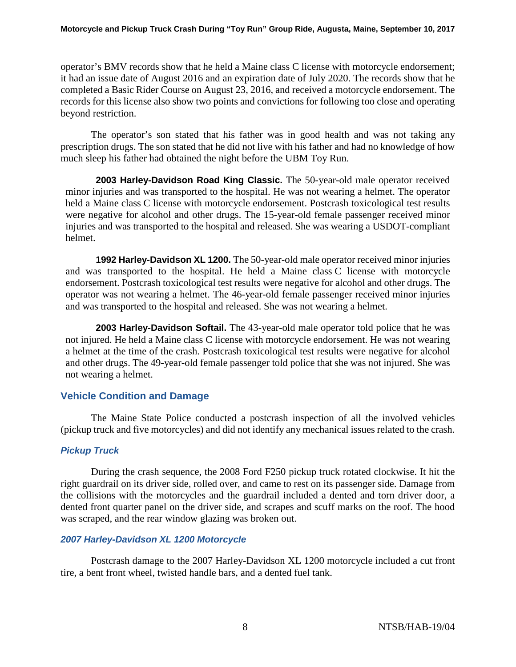operator's BMV records show that he held a Maine class C license with motorcycle endorsement; it had an issue date of August 2016 and an expiration date of July 2020. The records show that he completed a Basic Rider Course on August 23, 2016, and received a motorcycle endorsement. The records for this license also show two points and convictions for following too close and operating beyond restriction.

The operator's son stated that his father was in good health and was not taking any prescription drugs. The son stated that he did not live with his father and had no knowledge of how much sleep his father had obtained the night before the UBM Toy Run.

**2003 Harley-Davidson Road King Classic.** The 50-year-old male operator received minor injuries and was transported to the hospital. He was not wearing a helmet. The operator held a Maine class C license with motorcycle endorsement. Postcrash toxicological test results were negative for alcohol and other drugs. The 15-year-old female passenger received minor injuries and was transported to the hospital and released. She was wearing a USDOT-compliant helmet.

**1992 Harley-Davidson XL 1200.** The 50-year-old male operator received minor injuries and was transported to the hospital. He held a Maine class C license with motorcycle endorsement. Postcrash toxicological test results were negative for alcohol and other drugs. The operator was not wearing a helmet. The 46-year-old female passenger received minor injuries and was transported to the hospital and released. She was not wearing a helmet.

**2003 Harley-Davidson Softail.** The 43-year-old male operator told police that he was not injured. He held a Maine class C license with motorcycle endorsement. He was not wearing a helmet at the time of the crash. Postcrash toxicological test results were negative for alcohol and other drugs. The 49-year-old female passenger told police that she was not injured. She was not wearing a helmet.

## **Vehicle Condition and Damage**

The Maine State Police conducted a postcrash inspection of all the involved vehicles (pickup truck and five motorcycles) and did not identify any mechanical issues related to the crash.

## *Pickup Truck*

During the crash sequence, the 2008 Ford F250 pickup truck rotated clockwise. It hit the right guardrail on its driver side, rolled over, and came to rest on its passenger side. Damage from the collisions with the motorcycles and the guardrail included a dented and torn driver door, a dented front quarter panel on the driver side, and scrapes and scuff marks on the roof. The hood was scraped, and the rear window glazing was broken out.

### *2007 Harley-Davidson XL 1200 Motorcycle*

Postcrash damage to the 2007 Harley-Davidson XL 1200 motorcycle included a cut front tire, a bent front wheel, twisted handle bars, and a dented fuel tank.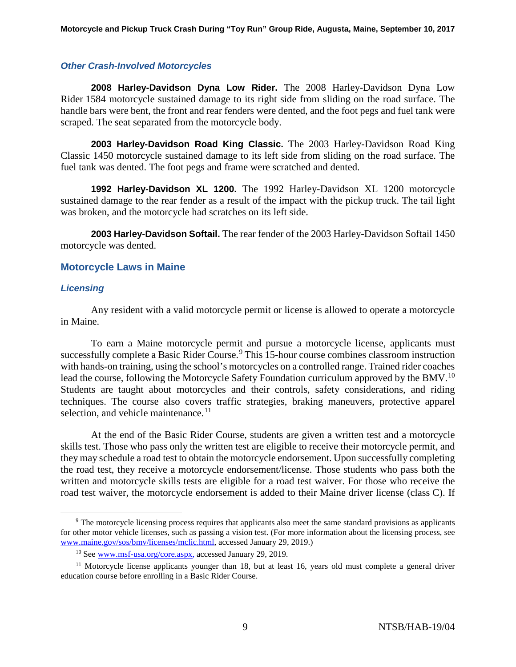#### *Other Crash-Involved Motorcycles*

**2008 Harley-Davidson Dyna Low Rider.** The 2008 Harley-Davidson Dyna Low Rider 1584 motorcycle sustained damage to its right side from sliding on the road surface. The handle bars were bent, the front and rear fenders were dented, and the foot pegs and fuel tank were scraped. The seat separated from the motorcycle body.

**2003 Harley-Davidson Road King Classic.** The 2003 Harley-Davidson Road King Classic 1450 motorcycle sustained damage to its left side from sliding on the road surface. The fuel tank was dented. The foot pegs and frame were scratched and dented.

**1992 Harley-Davidson XL 1200.** The 1992 Harley-Davidson XL 1200 motorcycle sustained damage to the rear fender as a result of the impact with the pickup truck. The tail light was broken, and the motorcycle had scratches on its left side.

**2003 Harley-Davidson Softail.** The rear fender of the 2003 Harley-Davidson Softail 1450 motorcycle was dented.

### **Motorcycle Laws in Maine**

#### *Licensing*

Any resident with a valid motorcycle permit or license is allowed to operate a motorcycle in Maine.

To earn a Maine motorcycle permit and pursue a motorcycle license, applicants must successfully complete a Basic Rider Course.<sup>[9](#page-8-0)</sup> This 15-hour course combines classroom instruction with hands-on training, using the school's motorcycles on a controlled range. Trained rider coaches lead the course, following the Motorcycle Safety Foundation curriculum approved by the BMV.<sup>[10](#page-8-1)</sup> Students are taught about motorcycles and their controls, safety considerations, and riding techniques. The course also covers traffic strategies, braking maneuvers, protective apparel selection, and vehicle maintenance.<sup>[11](#page-8-2)</sup>

At the end of the Basic Rider Course, students are given a written test and a motorcycle skills test. Those who pass only the written test are eligible to receive their motorcycle permit, and they may schedule a road test to obtain the motorcycle endorsement. Upon successfully completing the road test, they receive a motorcycle endorsement/license. Those students who pass both the written and motorcycle skills tests are eligible for a road test waiver. For those who receive the road test waiver, the motorcycle endorsement is added to their Maine driver license (class C). If

<span id="page-8-0"></span><sup>&</sup>lt;sup>9</sup> The motorcycle licensing process requires that applicants also meet the same standard provisions as applicants for other motor vehicle licenses, such as passing a vision test. (For more information about the licensing process, see [www.maine.gov/sos/bmv/licenses/mclic.html,](http://www.maine.gov/sos/bmv/licenses/mclic.html) accessed January 29, 2019.)

<sup>10</sup> See [www.msf-usa.org/core.aspx,](http://www.msf-usa.org/core.aspx) accessed January 29, 2019.

<span id="page-8-2"></span><span id="page-8-1"></span> $11$  Motorcycle license applicants younger than 18, but at least 16, years old must complete a general driver education course before enrolling in a Basic Rider Course.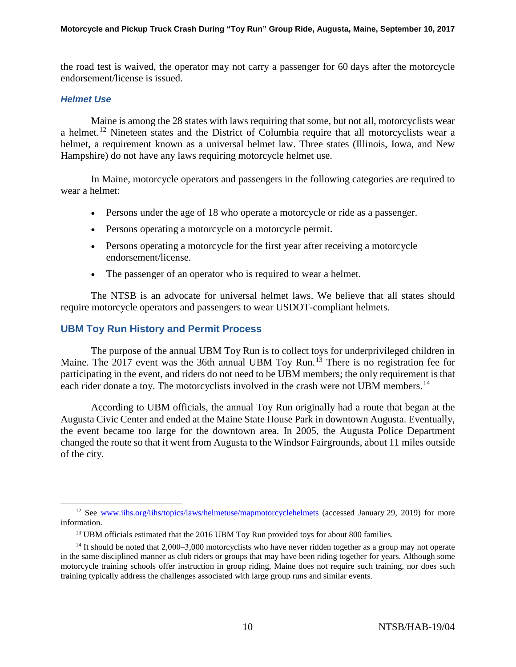the road test is waived, the operator may not carry a passenger for 60 days after the motorcycle endorsement/license is issued.

#### *Helmet Use*

Maine is among the 28 states with laws requiring that some, but not all, motorcyclists wear a helmet.[12](#page-9-0) Nineteen states and the District of Columbia require that all motorcyclists wear a helmet, a requirement known as a universal helmet law. Three states (Illinois, Iowa, and New Hampshire) do not have any laws requiring motorcycle helmet use.

In Maine, motorcycle operators and passengers in the following categories are required to wear a helmet:

- Persons under the age of 18 who operate a motorcycle or ride as a passenger.
- Persons operating a motorcycle on a motorcycle permit.
- Persons operating a motorcycle for the first year after receiving a motorcycle endorsement/license.
- The passenger of an operator who is required to wear a helmet.

The NTSB is an advocate for universal helmet laws. We believe that all states should require motorcycle operators and passengers to wear USDOT-compliant helmets.

## **UBM Toy Run History and Permit Process**

The purpose of the annual UBM Toy Run is to collect toys for underprivileged children in Maine. The 2017 event was the 36th annual UBM Toy Run.<sup>[13](#page-9-1)</sup> There is no registration fee for participating in the event, and riders do not need to be UBM members; the only requirement is that each rider donate a toy. The motorcyclists involved in the crash were not UBM members.<sup>[14](#page-9-2)</sup>

According to UBM officials, the annual Toy Run originally had a route that began at the Augusta Civic Center and ended at the Maine State House Park in downtown Augusta. Eventually, the event became too large for the downtown area. In 2005, the Augusta Police Department changed the route so that it went from Augusta to the Windsor Fairgrounds, about 11 miles outside of the city.

<span id="page-9-0"></span><sup>&</sup>lt;sup>12</sup> See [www.iihs.org/iihs/topics/laws/helmetuse/mapmotorcyclehelmets](http://www.iihs.org/iihs/topics/laws/helmetuse/mapmotorcyclehelmets) (accessed January 29, 2019) for more information.

<sup>&</sup>lt;sup>13</sup> UBM officials estimated that the 2016 UBM Toy Run provided toys for about 800 families.

<span id="page-9-2"></span><span id="page-9-1"></span> $14$  It should be noted that 2,000–3,000 motorcyclists who have never ridden together as a group may not operate in the same disciplined manner as club riders or groups that may have been riding together for years. Although some motorcycle training schools offer instruction in group riding, Maine does not require such training, nor does such training typically address the challenges associated with large group runs and similar events.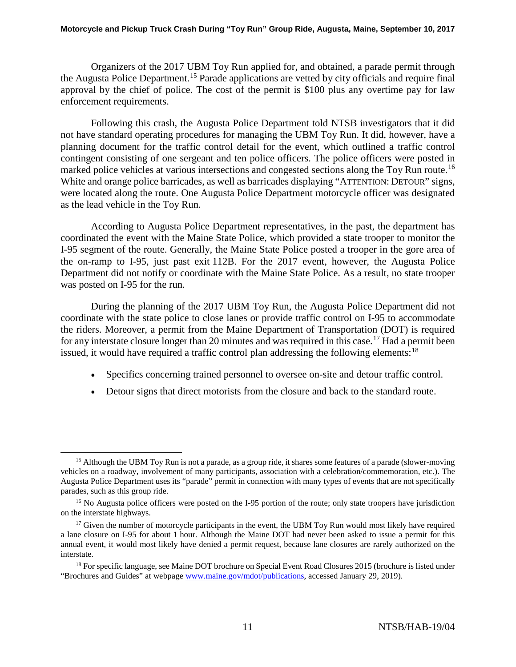Organizers of the 2017 UBM Toy Run applied for, and obtained, a parade permit through the Augusta Police Department.[15](#page-10-0) Parade applications are vetted by city officials and require final approval by the chief of police. The cost of the permit is \$100 plus any overtime pay for law enforcement requirements.

Following this crash, the Augusta Police Department told NTSB investigators that it did not have standard operating procedures for managing the UBM Toy Run. It did, however, have a planning document for the traffic control detail for the event, which outlined a traffic control contingent consisting of one sergeant and ten police officers. The police officers were posted in marked police vehicles at various intersections and congested sections along the Toy Run route.<sup>[16](#page-10-1)</sup> White and orange police barricades, as well as barricades displaying "ATTENTION: DETOUR" signs, were located along the route. One Augusta Police Department motorcycle officer was designated as the lead vehicle in the Toy Run.

According to Augusta Police Department representatives, in the past, the department has coordinated the event with the Maine State Police, which provided a state trooper to monitor the I-95 segment of the route. Generally, the Maine State Police posted a trooper in the gore area of the on-ramp to I-95, just past exit 112B. For the 2017 event, however, the Augusta Police Department did not notify or coordinate with the Maine State Police. As a result, no state trooper was posted on I-95 for the run.

During the planning of the 2017 UBM Toy Run, the Augusta Police Department did not coordinate with the state police to close lanes or provide traffic control on I-95 to accommodate the riders. Moreover, a permit from the Maine Department of Transportation (DOT) is required for any interstate closure longer than 20 minutes and was required in this case.<sup>[17](#page-10-2)</sup> Had a permit been issued, it would have required a traffic control plan addressing the following elements:<sup>[18](#page-10-3)</sup>

- Specifics concerning trained personnel to oversee on-site and detour traffic control.
- Detour signs that direct motorists from the closure and back to the standard route.

<span id="page-10-0"></span><sup>&</sup>lt;sup>15</sup> Although the UBM Toy Run is not a parade, as a group ride, it shares some features of a parade (slower-moving vehicles on a roadway, involvement of many participants, association with a celebration/commemoration, etc.). The Augusta Police Department uses its "parade" permit in connection with many types of events that are not specifically parades, such as this group ride.

<span id="page-10-1"></span><sup>&</sup>lt;sup>16</sup> No Augusta police officers were posted on the I-95 portion of the route; only state troopers have jurisdiction on the interstate highways.

<span id="page-10-2"></span><sup>&</sup>lt;sup>17</sup> Given the number of motorcycle participants in the event, the UBM Toy Run would most likely have required a lane closure on I-95 for about 1 hour. Although the Maine DOT had never been asked to issue a permit for this annual event, it would most likely have denied a permit request, because lane closures are rarely authorized on the interstate.

<span id="page-10-3"></span><sup>&</sup>lt;sup>18</sup> For specific language, see Maine DOT brochure on Special Event Road Closures 2015 (brochure is listed under "Brochures and Guides" at webpage [www.maine.gov/mdot/publications,](http://www.maine.gov/mdot/publications) accessed January 29, 2019).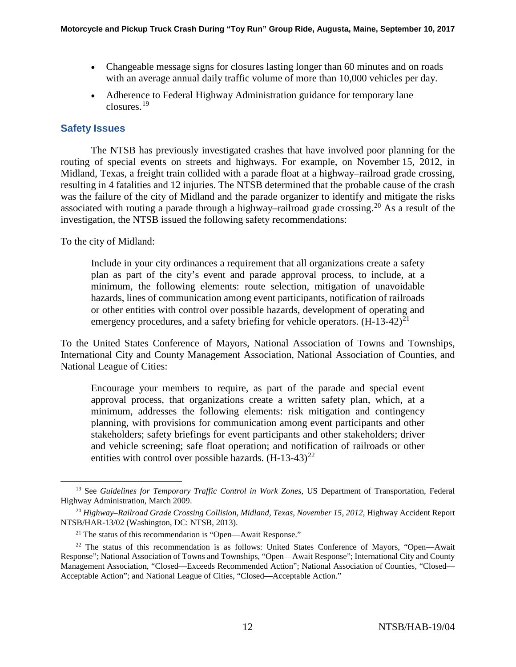- Changeable message signs for closures lasting longer than 60 minutes and on roads with an average annual daily traffic volume of more than 10,000 vehicles per day.
- Adherence to Federal Highway Administration guidance for temporary lane closures.[19](#page-11-0)

## **Safety Issues**

The NTSB has previously investigated crashes that have involved poor planning for the routing of special events on streets and highways. For example, on November 15, 2012, in Midland, Texas, a freight train collided with a parade float at a highway–railroad grade crossing, resulting in 4 fatalities and 12 injuries. The NTSB determined that the probable cause of the crash was the failure of the city of Midland and the parade organizer to identify and mitigate the risks associated with routing a parade through a highway–railroad grade crossing.<sup>[20](#page-11-1)</sup> As a result of the investigation, the NTSB issued the following safety recommendations:

To the city of Midland:

Include in your city ordinances a requirement that all organizations create a safety plan as part of the city's event and parade approval process, to include, at a minimum, the following elements: route selection, mitigation of unavoidable hazards, lines of communication among event participants, notification of railroads or other entities with control over possible hazards, development of operating and emergency procedures, and a safety briefing for vehicle operators.  $(H-13-42)^{21}$  $(H-13-42)^{21}$  $(H-13-42)^{21}$ 

To the United States Conference of Mayors, National Association of Towns and Townships, International City and County Management Association, National Association of Counties, and National League of Cities:

Encourage your members to require, as part of the parade and special event approval process, that organizations create a written safety plan, which, at a minimum, addresses the following elements: risk mitigation and contingency planning, with provisions for communication among event participants and other stakeholders; safety briefings for event participants and other stakeholders; driver and vehicle screening; safe float operation; and notification of railroads or other entities with control over possible hazards.  $(H-13-43)^{22}$  $(H-13-43)^{22}$  $(H-13-43)^{22}$ 

<span id="page-11-0"></span><sup>&</sup>lt;sup>19</sup> See *Guidelines for Temporary Traffic Control in Work Zones*, US Department of Transportation, Federal Highway Administration, March 2009.

<span id="page-11-1"></span><sup>20</sup> *Highway–Railroad Grade Crossing Collision, Midland, Texas, November 15, 2012*, Highway Accident Report NTSB/HAR-13/02 (Washington, DC: NTSB, 2013).

 $21$  The status of this recommendation is "Open—Await Response."

<span id="page-11-3"></span><span id="page-11-2"></span> $22$  The status of this recommendation is as follows: United States Conference of Mayors, "Open—Await" Response"; National Association of Towns and Townships, "Open—Await Response"; International City and County Management Association, "Closed—Exceeds Recommended Action"; National Association of Counties, "Closed— Acceptable Action"; and National League of Cities, "Closed—Acceptable Action."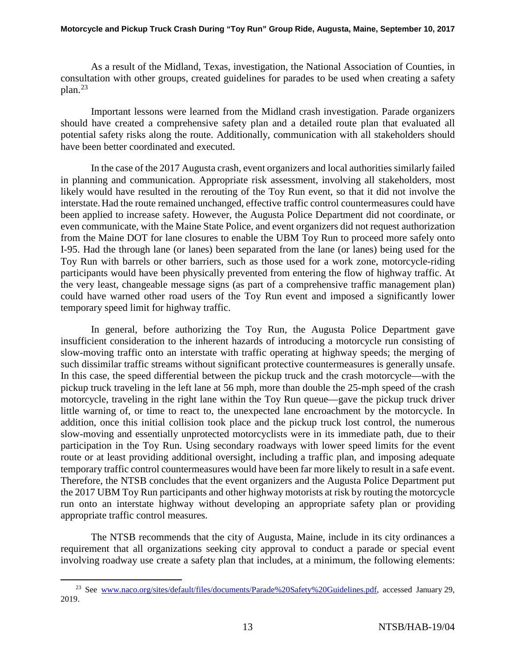#### **Motorcycle and Pickup Truck Crash During "Toy Run" Group Ride, Augusta, Maine, September 10, 2017**

As a result of the Midland, Texas, investigation, the National Association of Counties, in consultation with other groups, created guidelines for parades to be used when creating a safety plan.[23](#page-12-0)

Important lessons were learned from the Midland crash investigation. Parade organizers should have created a comprehensive safety plan and a detailed route plan that evaluated all potential safety risks along the route. Additionally, communication with all stakeholders should have been better coordinated and executed.

In the case of the 2017 Augusta crash, event organizers and local authorities similarly failed in planning and communication. Appropriate risk assessment, involving all stakeholders, most likely would have resulted in the rerouting of the Toy Run event, so that it did not involve the interstate.Had the route remained unchanged, effective traffic control countermeasures could have been applied to increase safety. However, the Augusta Police Department did not coordinate, or even communicate, with the Maine State Police, and event organizers did not request authorization from the Maine DOT for lane closures to enable the UBM Toy Run to proceed more safely onto I-95. Had the through lane (or lanes) been separated from the lane (or lanes) being used for the Toy Run with barrels or other barriers, such as those used for a work zone, motorcycle-riding participants would have been physically prevented from entering the flow of highway traffic. At the very least, changeable message signs (as part of a comprehensive traffic management plan) could have warned other road users of the Toy Run event and imposed a significantly lower temporary speed limit for highway traffic.

In general, before authorizing the Toy Run, the Augusta Police Department gave insufficient consideration to the inherent hazards of introducing a motorcycle run consisting of slow-moving traffic onto an interstate with traffic operating at highway speeds; the merging of such dissimilar traffic streams without significant protective countermeasures is generally unsafe. In this case, the speed differential between the pickup truck and the crash motorcycle—with the pickup truck traveling in the left lane at 56 mph, more than double the 25-mph speed of the crash motorcycle, traveling in the right lane within the Toy Run queue—gave the pickup truck driver little warning of, or time to react to, the unexpected lane encroachment by the motorcycle. In addition, once this initial collision took place and the pickup truck lost control, the numerous slow-moving and essentially unprotected motorcyclists were in its immediate path, due to their participation in the Toy Run. Using secondary roadways with lower speed limits for the event route or at least providing additional oversight, including a traffic plan, and imposing adequate temporary traffic control countermeasures would have been far more likely to result in a safe event. Therefore, the NTSB concludes that the event organizers and the Augusta Police Department put the 2017 UBM Toy Run participants and other highway motorists at risk by routing the motorcycle run onto an interstate highway without developing an appropriate safety plan or providing appropriate traffic control measures.

The NTSB recommends that the city of Augusta, Maine, include in its city ordinances a requirement that all organizations seeking city approval to conduct a parade or special event involving roadway use create a safety plan that includes, at a minimum, the following elements:

<span id="page-12-0"></span><sup>&</sup>lt;sup>23</sup> See [www.naco.org/sites/default/files/documents/Parade%20Safety%20Guidelines.pdf,](http://www.naco.org/sites/default/files/documents/Parade%20Safety%20Guidelines.pdf) accessed January 29, 2019.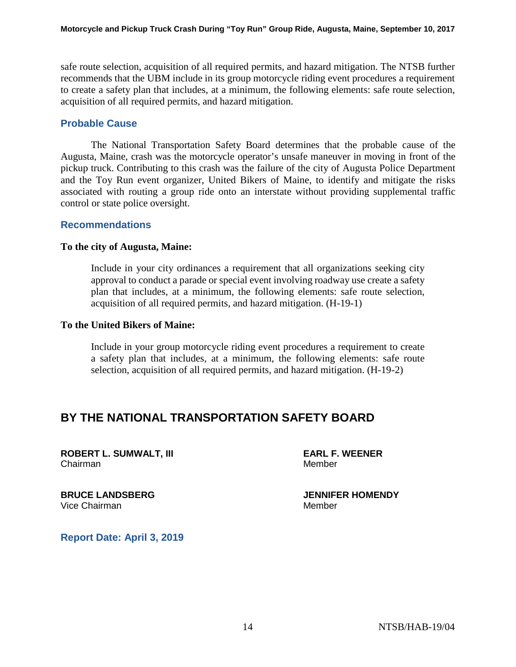safe route selection, acquisition of all required permits, and hazard mitigation. The NTSB further recommends that the UBM include in its group motorcycle riding event procedures a requirement to create a safety plan that includes, at a minimum, the following elements: safe route selection, acquisition of all required permits, and hazard mitigation.

## **Probable Cause**

The National Transportation Safety Board determines that the probable cause of the Augusta, Maine, crash was the motorcycle operator's unsafe maneuver in moving in front of the pickup truck. Contributing to this crash was the failure of the city of Augusta Police Department and the Toy Run event organizer, United Bikers of Maine, to identify and mitigate the risks associated with routing a group ride onto an interstate without providing supplemental traffic control or state police oversight.

### **Recommendations**

#### **To the city of Augusta, Maine:**

Include in your city ordinances a requirement that all organizations seeking city approval to conduct a parade or special event involving roadway use create a safety plan that includes, at a minimum, the following elements: safe route selection, acquisition of all required permits, and hazard mitigation. (H-19-1)

#### **To the United Bikers of Maine:**

Include in your group motorcycle riding event procedures a requirement to create a safety plan that includes, at a minimum, the following elements: safe route selection, acquisition of all required permits, and hazard mitigation. (H-19-2)

## **BY THE NATIONAL TRANSPORTATION SAFETY BOARD**

**ROBERT L. SUMWALT, III EARL F. WEENER** Chairman Member

**BRUCE LANDSBERG JENNIFER HOMENDY** Vice Chairman Member

**Report Date: April 3, 2019**